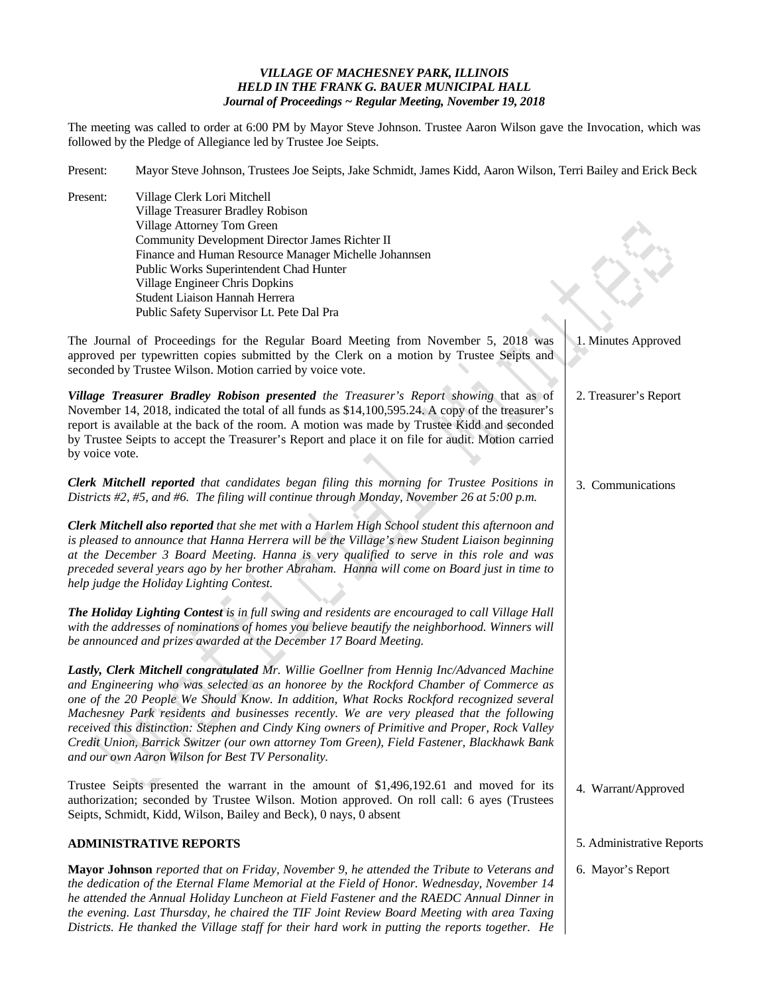## *VILLAGE OF MACHESNEY PARK, ILLINOIS HELD IN THE FRANK G. BAUER MUNICIPAL HALL Journal of Proceedings ~ Regular Meeting, November 19, 2018*

The meeting was called to order at 6:00 PM by Mayor Steve Johnson. Trustee Aaron Wilson gave the Invocation, which was followed by the Pledge of Allegiance led by Trustee Joe Seipts.

| Present:                                                                                                                                                                                                                                                                                                                                                                                                                                                                              | Mayor Steve Johnson, Trustees Joe Seipts, Jake Schmidt, James Kidd, Aaron Wilson, Terri Bailey and Erick Beck                                                                                                                                                                                                                                                                                                                                                                                                                                                                                                                  |                           |  |
|---------------------------------------------------------------------------------------------------------------------------------------------------------------------------------------------------------------------------------------------------------------------------------------------------------------------------------------------------------------------------------------------------------------------------------------------------------------------------------------|--------------------------------------------------------------------------------------------------------------------------------------------------------------------------------------------------------------------------------------------------------------------------------------------------------------------------------------------------------------------------------------------------------------------------------------------------------------------------------------------------------------------------------------------------------------------------------------------------------------------------------|---------------------------|--|
| Present:                                                                                                                                                                                                                                                                                                                                                                                                                                                                              | Village Clerk Lori Mitchell<br>Village Treasurer Bradley Robison<br>Village Attorney Tom Green<br>Community Development Director James Richter II                                                                                                                                                                                                                                                                                                                                                                                                                                                                              |                           |  |
|                                                                                                                                                                                                                                                                                                                                                                                                                                                                                       | Finance and Human Resource Manager Michelle Johannsen                                                                                                                                                                                                                                                                                                                                                                                                                                                                                                                                                                          |                           |  |
|                                                                                                                                                                                                                                                                                                                                                                                                                                                                                       | Public Works Superintendent Chad Hunter                                                                                                                                                                                                                                                                                                                                                                                                                                                                                                                                                                                        |                           |  |
|                                                                                                                                                                                                                                                                                                                                                                                                                                                                                       | Village Engineer Chris Dopkins<br>Student Liaison Hannah Herrera                                                                                                                                                                                                                                                                                                                                                                                                                                                                                                                                                               |                           |  |
|                                                                                                                                                                                                                                                                                                                                                                                                                                                                                       | Public Safety Supervisor Lt. Pete Dal Pra                                                                                                                                                                                                                                                                                                                                                                                                                                                                                                                                                                                      |                           |  |
|                                                                                                                                                                                                                                                                                                                                                                                                                                                                                       | The Journal of Proceedings for the Regular Board Meeting from November 5, 2018 was<br>approved per typewritten copies submitted by the Clerk on a motion by Trustee Seipts and                                                                                                                                                                                                                                                                                                                                                                                                                                                 | 1. Minutes Approved       |  |
|                                                                                                                                                                                                                                                                                                                                                                                                                                                                                       | seconded by Trustee Wilson. Motion carried by voice vote.                                                                                                                                                                                                                                                                                                                                                                                                                                                                                                                                                                      |                           |  |
| by voice vote.                                                                                                                                                                                                                                                                                                                                                                                                                                                                        | Village Treasurer Bradley Robison presented the Treasurer's Report showing that as of<br>November 14, 2018, indicated the total of all funds as \$14,100,595.24. A copy of the treasurer's<br>report is available at the back of the room. A motion was made by Trustee Kidd and seconded<br>by Trustee Seipts to accept the Treasurer's Report and place it on file for audit. Motion carried                                                                                                                                                                                                                                 | 2. Treasurer's Report     |  |
|                                                                                                                                                                                                                                                                                                                                                                                                                                                                                       | Clerk Mitchell reported that candidates began filing this morning for Trustee Positions in<br>Districts $#2, #5,$ and $#6$ . The filing will continue through Monday, November 26 at 5:00 p.m.                                                                                                                                                                                                                                                                                                                                                                                                                                 | 3. Communications         |  |
|                                                                                                                                                                                                                                                                                                                                                                                                                                                                                       | Clerk Mitchell also reported that she met with a Harlem High School student this afternoon and<br>is pleased to announce that Hanna Herrera will be the Village's new Student Liaison beginning<br>at the December 3 Board Meeting. Hanna is very qualified to serve in this role and was<br>preceded several years ago by her brother Abraham. Hanna will come on Board just in time to<br>help judge the Holiday Lighting Contest.                                                                                                                                                                                           |                           |  |
|                                                                                                                                                                                                                                                                                                                                                                                                                                                                                       | The Holiday Lighting Contest is in full swing and residents are encouraged to call Village Hall<br>with the addresses of nominations of homes you believe beautify the neighborhood. Winners will<br>be announced and prizes awarded at the December 17 Board Meeting.                                                                                                                                                                                                                                                                                                                                                         |                           |  |
|                                                                                                                                                                                                                                                                                                                                                                                                                                                                                       | Lastly, Clerk Mitchell congratulated Mr. Willie Goellner from Hennig Inc/Advanced Machine<br>and Engineering who was selected as an honoree by the Rockford Chamber of Commerce as<br>one of the 20 People We Should Know. In addition, What Rocks Rockford recognized several<br>Machesney Park residents and businesses recently. We are very pleased that the following<br>received this distinction: Stephen and Cindy King owners of Primitive and Proper, Rock Valley<br>Credit Union, Barrick Switzer (our own attorney Tom Green), Field Fastener, Blackhawk Bank<br>and our own Aaron Wilson for Best TV Personality. |                           |  |
|                                                                                                                                                                                                                                                                                                                                                                                                                                                                                       | Trustee Seipts presented the warrant in the amount of \$1,496,192.61 and moved for its<br>authorization; seconded by Trustee Wilson. Motion approved. On roll call: 6 ayes (Trustees<br>Seipts, Schmidt, Kidd, Wilson, Bailey and Beck), 0 nays, 0 absent                                                                                                                                                                                                                                                                                                                                                                      | 4. Warrant/Approved       |  |
|                                                                                                                                                                                                                                                                                                                                                                                                                                                                                       | <b>ADMINISTRATIVE REPORTS</b>                                                                                                                                                                                                                                                                                                                                                                                                                                                                                                                                                                                                  | 5. Administrative Reports |  |
| Mayor Johnson reported that on Friday, November 9, he attended the Tribute to Veterans and<br>the dedication of the Eternal Flame Memorial at the Field of Honor. Wednesday, November 14<br>he attended the Annual Holiday Luncheon at Field Fastener and the RAEDC Annual Dinner in<br>the evening. Last Thursday, he chaired the TIF Joint Review Board Meeting with area Taxing<br>Districts. He thanked the Village staff for their hard work in putting the reports together. He |                                                                                                                                                                                                                                                                                                                                                                                                                                                                                                                                                                                                                                | 6. Mayor's Report         |  |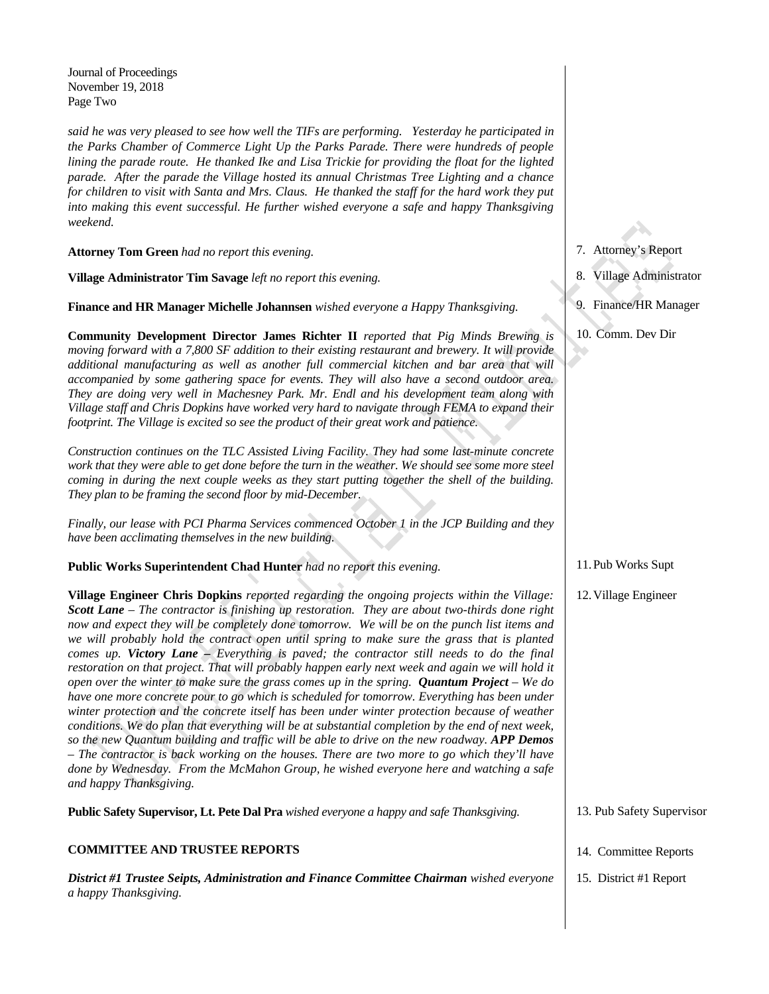Journal of Proceedings November 19, 2018 Page Two

*a happy Thanksgiving.* 

*said he was very pleased to see how well the TIFs are performing. Yesterday he participated in the Parks Chamber of Commerce Light Up the Parks Parade. There were hundreds of people lining the parade route. He thanked Ike and Lisa Trickie for providing the float for the lighted parade. After the parade the Village hosted its annual Christmas Tree Lighting and a chance for children to visit with Santa and Mrs. Claus. He thanked the staff for the hard work they put into making this event successful. He further wished everyone a safe and happy Thanksgiving weekend.* 

**Attorney Tom Green** *had no report this evening.* 

**Village Administrator Tim Savage** *left no report this evening.* 

**Finance and HR Manager Michelle Johannsen** *wished everyone a Happy Thanksgiving.* 

**Community Development Director James Richter II** *reported that Pig Minds Brewing is moving forward with a 7,800 SF addition to their existing restaurant and brewery. It will provide additional manufacturing as well as another full commercial kitchen and bar area that will accompanied by some gathering space for events. They will also have a second outdoor area. They are doing very well in Machesney Park. Mr. Endl and his development team along with Village staff and Chris Dopkins have worked very hard to navigate through FEMA to expand their footprint. The Village is excited so see the product of their great work and patience.* 

*Construction continues on the TLC Assisted Living Facility. They had some last-minute concrete work that they were able to get done before the turn in the weather. We should see some more steel coming in during the next couple weeks as they start putting together the shell of the building. They plan to be framing the second floor by mid-December.* 

*Finally, our lease with PCI Pharma Services commenced October 1 in the JCP Building and they have been acclimating themselves in the new building.* 

**Public Works Superintendent Chad Hunter** *had no report this evening.* 

**Village Engineer Chris Dopkins** *reported regarding the ongoing projects within the Village: Scott Lane – The contractor is finishing up restoration. They are about two-thirds done right now and expect they will be completely done tomorrow. We will be on the punch list items and we will probably hold the contract open until spring to make sure the grass that is planted comes up. Victory Lane – Everything is paved; the contractor still needs to do the final restoration on that project. That will probably happen early next week and again we will hold it open over the winter to make sure the grass comes up in the spring. Quantum Project – We do have one more concrete pour to go which is scheduled for tomorrow. Everything has been under winter protection and the concrete itself has been under winter protection because of weather conditions. We do plan that everything will be at substantial completion by the end of next week, so the new Quantum building and traffic will be able to drive on the new roadway. APP Demos – The contractor is back working on the houses. There are two more to go which they'll have done by Wednesday. From the McMahon Group, he wished everyone here and watching a safe and happy Thanksgiving.* 

**Public Safety Supervisor, Lt. Pete Dal Pra** *wished everyone a happy and safe Thanksgiving.* **COMMITTEE AND TRUSTEE REPORTS**  *District #1 Trustee Seipts, Administration and Finance Committee Chairman wished everyone*  13. Pub Safety Supervisor 14. Committee Reports

7. Attorney's Report

- 8. Village Administrator
- 9. Finance/HR Manager
- 10. Comm. Dev Dir

11.Pub Works Supt

12.Village Engineer

- 
- 15. District #1 Report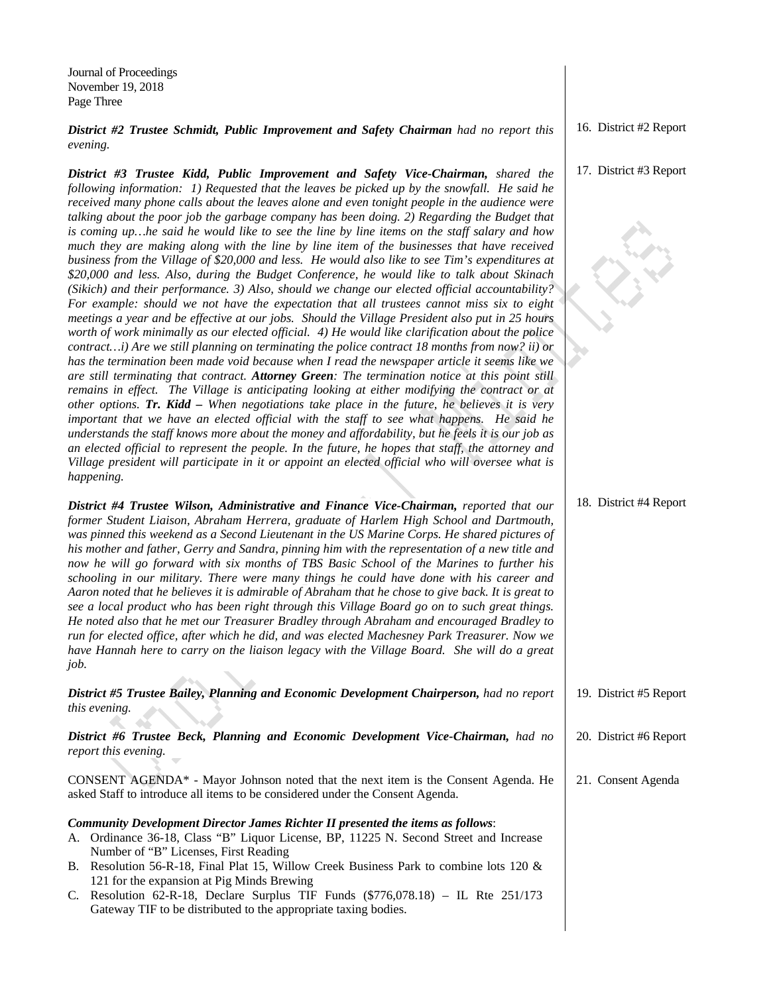Journal of Proceedings November 19, 2018 Page Three

*District #2 Trustee Schmidt, Public Improvement and Safety Chairman had no report this evening.* 

*District #3 Trustee Kidd, Public Improvement and Safety Vice-Chairman, shared the following information: 1) Requested that the leaves be picked up by the snowfall. He said he received many phone calls about the leaves alone and even tonight people in the audience were talking about the poor job the garbage company has been doing. 2) Regarding the Budget that is coming up…he said he would like to see the line by line items on the staff salary and how much they are making along with the line by line item of the businesses that have received business from the Village of \$20,000 and less. He would also like to see Tim's expenditures at \$20,000 and less. Also, during the Budget Conference, he would like to talk about Skinach (Sikich) and their performance. 3) Also, should we change our elected official accountability? For example: should we not have the expectation that all trustees cannot miss six to eight meetings a year and be effective at our jobs. Should the Village President also put in 25 hours worth of work minimally as our elected official. 4) He would like clarification about the police contract…i) Are we still planning on terminating the police contract 18 months from now? ii) or has the termination been made void because when I read the newspaper article it seems like we are still terminating that contract. Attorney Green: The termination notice at this point still remains in effect. The Village is anticipating looking at either modifying the contract or at other options. Tr. Kidd – When negotiations take place in the future, he believes it is very important that we have an elected official with the staff to see what happens. He said he understands the staff knows more about the money and affordability, but he feels it is our job as an elected official to represent the people. In the future, he hopes that staff, the attorney and Village president will participate in it or appoint an elected official who will oversee what is happening.* 

*District #4 Trustee Wilson, Administrative and Finance Vice-Chairman, reported that our former Student Liaison, Abraham Herrera, graduate of Harlem High School and Dartmouth, was pinned this weekend as a Second Lieutenant in the US Marine Corps. He shared pictures of his mother and father, Gerry and Sandra, pinning him with the representation of a new title and now he will go forward with six months of TBS Basic School of the Marines to further his schooling in our military. There were many things he could have done with his career and Aaron noted that he believes it is admirable of Abraham that he chose to give back. It is great to see a local product who has been right through this Village Board go on to such great things. He noted also that he met our Treasurer Bradley through Abraham and encouraged Bradley to run for elected office, after which he did, and was elected Machesney Park Treasurer. Now we have Hannah here to carry on the liaison legacy with the Village Board. She will do a great job.* 

*District #5 Trustee Bailey, Planning and Economic Development Chairperson, had no report this evening.* 

*District #6 Trustee Beck, Planning and Economic Development Vice-Chairman, had no report this evening.* 

CONSENT AGENDA\* - Mayor Johnson noted that the next item is the Consent Agenda. He asked Staff to introduce all items to be considered under the Consent Agenda.

## *Community Development Director James Richter II presented the items as follows*:

- A. Ordinance 36-18, Class "B" Liquor License, BP, 11225 N. Second Street and Increase Number of "B" Licenses, First Reading
- B. Resolution 56-R-18, Final Plat 15, Willow Creek Business Park to combine lots 120 & 121 for the expansion at Pig Minds Brewing
- C. Resolution 62-R-18, Declare Surplus TIF Funds (\$776,078.18) IL Rte 251/173 Gateway TIF to be distributed to the appropriate taxing bodies.

16. District #2 Report

## 17. District #3 Report

|  | 18. District #4 Report |  |
|--|------------------------|--|
|--|------------------------|--|

20. District #6 Report

19. District #5 Report

21. Consent Agenda